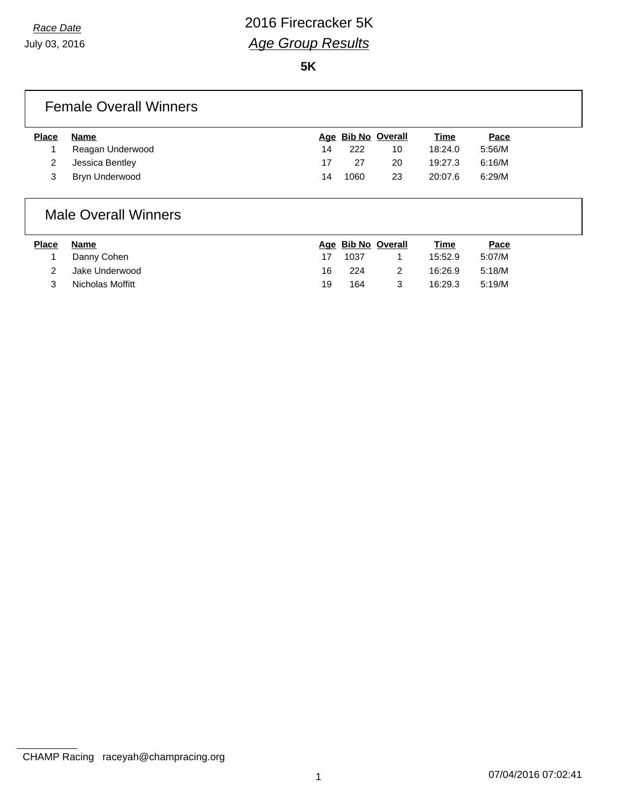**5K**

### Female Overall Winners

| <b>Place</b> | Name             |    | Age Bib No Overall |    | Time    | Pace   |
|--------------|------------------|----|--------------------|----|---------|--------|
|              | Reagan Underwood | 14 | 222                | 10 | 18:24.0 | 5:56/M |
|              | Jessica Bentley  |    | 27                 | 20 | 19:27.3 | 6:16/M |
|              | Bryn Underwood   | 14 | 1060               | 23 | 20:07.6 | 6:29/M |
|              |                  |    |                    |    |         |        |

#### Male Overall Winners

| <b>Place</b> | Name             |    | Age Bib No Overall | Time    | Pace   |
|--------------|------------------|----|--------------------|---------|--------|
|              | Danny Cohen      |    | 1037               | 15:52.9 | 5:07/M |
|              | Jake Underwood   | 16 | 224                | 16:26.9 | 5:18/M |
|              | Nicholas Moffitt | 19 | 164                | 16:29.3 | 5:19/M |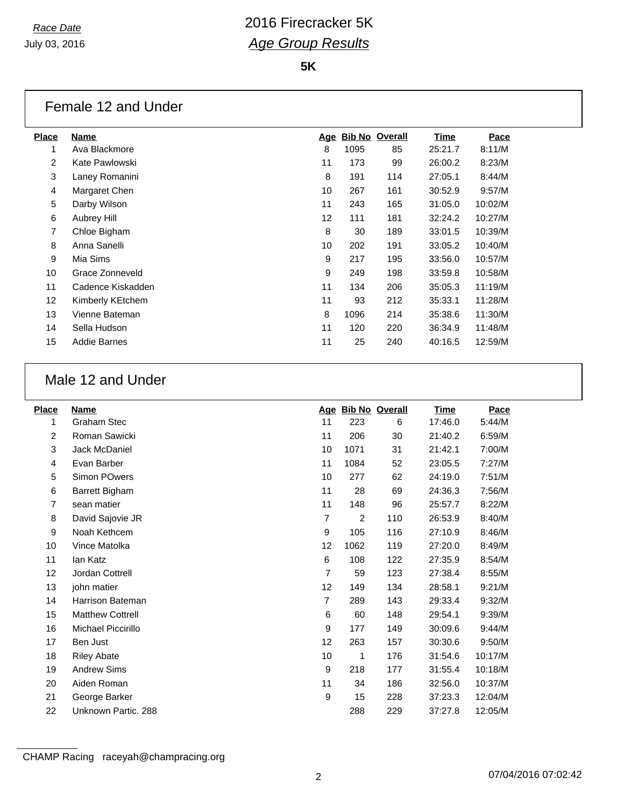**5K**

### Female 12 and Under

| <b>Place</b> | <b>Name</b>         | <u>Age</u>        |      | <b>Bib No Overall</b> | <u>Time</u> | Pace    |
|--------------|---------------------|-------------------|------|-----------------------|-------------|---------|
| 1            | Ava Blackmore       | 8                 | 1095 | 85                    | 25:21.7     | 8:11/M  |
| 2            | Kate Pawlowski      | 11                | 173  | 99                    | 26:00.2     | 8:23/M  |
| 3            | Laney Romanini      | 8                 | 191  | 114                   | 27:05.1     | 8:44/M  |
| 4            | Margaret Chen       | 10                | 267  | 161                   | 30:52.9     | 9:57/M  |
| 5            | Darby Wilson        | 11                | 243  | 165                   | 31:05.0     | 10:02/M |
| 6            | Aubrey Hill         | $12 \overline{ }$ | 111  | 181                   | 32:24.2     | 10:27/M |
| 7            | Chloe Bigham        | 8                 | 30   | 189                   | 33:01.5     | 10:39/M |
| 8            | Anna Sanelli        | 10                | 202  | 191                   | 33:05.2     | 10:40/M |
| 9            | Mia Sims            | 9                 | 217  | 195                   | 33:56.0     | 10:57/M |
| 10           | Grace Zonneveld     | 9                 | 249  | 198                   | 33:59.8     | 10:58/M |
| 11           | Cadence Kiskadden   | 11                | 134  | 206                   | 35:05.3     | 11:19/M |
| 12           | Kimberly KEtchem    | 11                | 93   | 212                   | 35:33.1     | 11:28/M |
| 13           | Vienne Bateman      | 8                 | 1096 | 214                   | 35:38.6     | 11:30/M |
| 14           | Sella Hudson        | 11                | 120  | 220                   | 36:34.9     | 11:48/M |
| 15           | <b>Addie Barnes</b> | 11                | 25   | 240                   | 40:16.5     | 12:59/M |
|              |                     |                   |      |                       |             |         |

## Male 12 and Under

| <b>Place</b> | <b>Name</b>             |                |                | Age Bib No Overall | <u>Time</u> | Pace    |
|--------------|-------------------------|----------------|----------------|--------------------|-------------|---------|
| 1            | <b>Graham Stec</b>      | 11             | 223            | 6                  | 17:46.0     | 5:44/M  |
| 2            | Roman Sawicki           | 11             | 206            | 30                 | 21:40.2     | 6:59/M  |
| 3            | Jack McDaniel           | 10             | 1071           | 31                 | 21:42.1     | 7:00/M  |
| 4            | Evan Barber             | 11             | 1084           | 52                 | 23:05.5     | 7:27/M  |
| 5            | Simon POwers            | 10             | 277            | 62                 | 24:19.0     | 7:51/M  |
| 6            | Barrett Bigham          | 11             | 28             | 69                 | 24:36.3     | 7:56/M  |
| 7            | sean matier             | 11             | 148            | 96                 | 25:57.7     | 8:22/M  |
| 8            | David Sajovie JR        | 7              | $\overline{2}$ | 110                | 26:53.9     | 8:40/M  |
| 9            | Noah Kethcem            | 9              | 105            | 116                | 27:10.9     | 8:46/M  |
| 10           | Vince Matolka           | 12             | 1062           | 119                | 27:20.0     | 8:49/M  |
| 11           | lan Katz                | 6              | 108            | 122                | 27:35.9     | 8:54/M  |
| 12           | Jordan Cottrell         | $\overline{7}$ | 59             | 123                | 27:38.4     | 8:55/M  |
| 13           | john matier             | 12             | 149            | 134                | 28:58.1     | 9:21/M  |
| 14           | Harrison Bateman        | 7              | 289            | 143                | 29:33.4     | 9:32/M  |
| 15           | <b>Matthew Cottrell</b> | 6              | 60             | 148                | 29:54.1     | 9:39/M  |
| 16           | Michael Piccirillo      | 9              | 177            | 149                | 30:09.6     | 9:44/M  |
| 17           | Ben Just                | 12             | 263            | 157                | 30:30.6     | 9:50/M  |
| 18           | <b>Riley Abate</b>      | 10             | 1              | 176                | 31:54.6     | 10:17/M |
| 19           | <b>Andrew Sims</b>      | 9              | 218            | 177                | 31:55.4     | 10:18/M |
| 20           | Aiden Roman             | 11             | 34             | 186                | 32:56.0     | 10:37/M |
| 21           | George Barker           | 9              | 15             | 228                | 37:23.3     | 12:04/M |
| 22           | Unknown Partic, 288     |                | 288            | 229                | 37:27.8     | 12:05/M |
|              |                         |                |                |                    |             |         |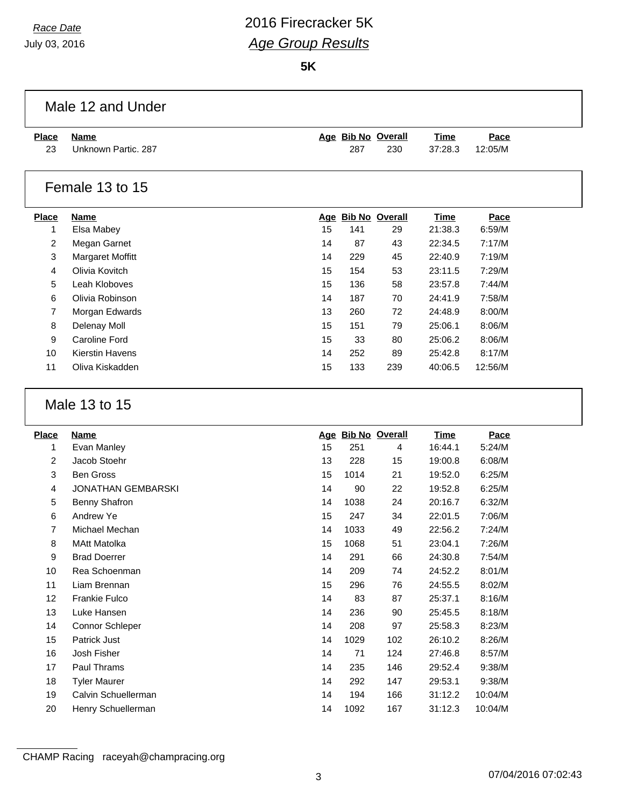July 03, 2016

 $\Gamma$ 

# *Race Date* 2016 Firecracker 5K *Age Group Results*

**5K**

|              | Male 12 and Under            |    |      |                    |             |          |  |
|--------------|------------------------------|----|------|--------------------|-------------|----------|--|
| <b>Place</b> | <b>Name</b>                  |    |      | Age Bib No Overall | <b>Time</b> | Pace     |  |
| 23           | Unknown Partic. 287          |    | 287  | 230                | 37:28.3     | 12:05/M  |  |
|              |                              |    |      |                    |             |          |  |
|              | Female 13 to 15              |    |      |                    |             |          |  |
| <b>Place</b> | <b>Name</b>                  |    |      | Age Bib No Overall | <b>Time</b> | Pace     |  |
| 1            | Elsa Mabey                   | 15 | 141  | 29                 | 21:38.3     | 6:59/M   |  |
| 2            | Megan Garnet                 | 14 | 87   | 43                 | 22:34.5     | 7:17/M   |  |
| 3            | <b>Margaret Moffitt</b>      | 14 | 229  | 45                 | 22:40.9     | 7:19/M   |  |
| 4            | Olivia Kovitch               | 15 | 154  | 53                 | 23:11.5     | 7:29/M   |  |
| 5            | Leah Kloboves                | 15 | 136  | 58                 | 23:57.8     | 7:44/M   |  |
| 6            | Olivia Robinson              | 14 | 187  | 70                 | 24:41.9     | 7:58/M   |  |
| 7            | Morgan Edwards               | 13 | 260  | 72                 | 24:48.9     | 8:00/M   |  |
| 8            | Delenay Moll                 | 15 | 151  | 79                 | 25:06.1     | 8:06/M   |  |
| 9            | Caroline Ford                | 15 | 33   | 80                 | 25:06.2     | 8:06/M   |  |
| 10           | <b>Kierstin Havens</b>       | 14 | 252  | 89                 | 25:42.8     | 8:17/M   |  |
| 11           | Oliva Kiskadden              | 15 | 133  | 239                | 40:06.5     | 12:56/M  |  |
| <b>Place</b> | Male 13 to 15<br><b>Name</b> |    |      | Age Bib No Overall | <b>Time</b> | Pace     |  |
| 1            | Evan Manley                  | 15 | 251  | 4                  | 16:44.1     | 5:24/M   |  |
| 2            | Jacob Stoehr                 | 13 | 228  | 15                 | 19:00.8     | 6:08/M   |  |
| 3            | <b>Ben Gross</b>             | 15 | 1014 | 21                 | 19:52.0     | 6:25/M   |  |
| 4            | <b>JONATHAN GEMBARSKI</b>    | 14 | 90   | 22                 | 19:52.8     | 6:25/M   |  |
| 5            | <b>Benny Shafron</b>         | 14 | 1038 | 24                 | 20:16.7     | 6:32/M   |  |
| 6            | Andrew Ye                    | 15 | 247  | 34                 | 22:01.5     | 7:06/M   |  |
| 7            | Michael Mechan               | 14 | 1033 | 49                 | 22:56.2     | 7:24/M   |  |
| 8            | <b>MAtt Matolka</b>          | 15 | 1068 | 51                 | 23:04.1     | 7:26/M   |  |
| 9            | <b>Brad Doerrer</b>          | 14 | 291  | 66                 | 24:30.8     | $7:54/M$ |  |
| 10           | Rea Schoenman                | 14 | 209  | 74                 | 24:52.2     | 8:01/M   |  |
| 11           | Liam Brennan                 | 15 | 296  | 76                 | 24:55.5     | 8:02/M   |  |
| 12           | Frankie Fulco                | 14 | 83   | 87                 | 25:37.1     | 8:16/M   |  |
| 13           | Luke Hansen                  | 14 | 236  | 90                 | 25:45.5     | 8:18/M   |  |
| 14           |                              |    |      |                    |             |          |  |
|              | Connor Schleper              | 14 | 208  | 97                 | 25:58.3     | 8:23/M   |  |
| 15           | Patrick Just                 | 14 | 1029 | 102                | 26:10.2     | 8:26/M   |  |
| 16           | Josh Fisher                  | 14 | 71   | 124                | 27:46.8     | 8:57/M   |  |
| 17           | Paul Thrams                  | 14 | 235  | 146                | 29:52.4     | 9:38/M   |  |
| 18           | <b>Tyler Maurer</b>          | 14 | 292  | 147                | 29:53.1     | 9:38/M   |  |
| 19           | Calvin Schuellerman          | 14 | 194  | 166                | 31:12.2     | 10:04/M  |  |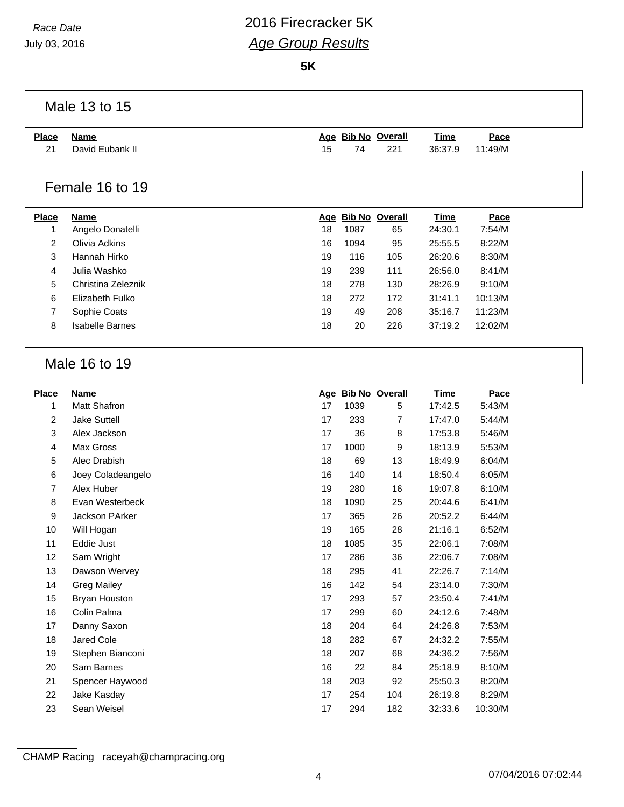July 03, 2016

# *Race Date* 2016 Firecracker 5K *Age Group Results*

**5K**

|              | Male 13 to 15                  |          |            |                    |                    |                  |  |
|--------------|--------------------------------|----------|------------|--------------------|--------------------|------------------|--|
| <b>Place</b> | <b>Name</b>                    |          |            | Age Bib No Overall | Time               | Pace             |  |
| 21           | David Eubank II                | 15       | 74         | 221                | 36:37.9            | 11:49/M          |  |
|              | Female 16 to 19                |          |            |                    |                    |                  |  |
| <b>Place</b> | <b>Name</b>                    |          |            | Age Bib No Overall | <b>Time</b>        | Pace             |  |
| 1            | Angelo Donatelli               | 18       | 1087       | 65                 | 24:30.1            | 7:54/M           |  |
| 2            | Olivia Adkins                  | 16       | 1094       | 95                 | 25:55.5            | 8:22/M           |  |
| 3            | Hannah Hirko                   | 19       | 116        | 105                | 26:20.6            | 8:30/M           |  |
| 4            | Julia Washko                   | 19       | 239        | 111                | 26:56.0            | 8:41/M           |  |
| 5            | Christina Zeleznik             | 18       | 278        | 130                | 28:26.9            | 9:10/M           |  |
| 6            | Elizabeth Fulko                | 18       | 272        | 172                | 31:41.1            | 10:13/M          |  |
| 7            | Sophie Coats                   | 19       | 49         | 208                | 35:16.7            | 11:23/M          |  |
| 8            | <b>Isabelle Barnes</b>         | 18       | 20         | 226                | 37:19.2            | 12:02/M          |  |
|              | Male 16 to 19                  |          |            |                    |                    |                  |  |
|              |                                |          |            |                    |                    |                  |  |
| <b>Place</b> | <b>Name</b>                    |          |            | Age Bib No Overall | <b>Time</b>        | Pace             |  |
| 1            | <b>Matt Shafron</b>            | 17       | 1039       | 5                  | 17:42.5            | 5:43/M           |  |
| 2            | <b>Jake Suttell</b>            | 17       | 233        | $\overline{7}$     | 17:47.0            | 5:44/M           |  |
| 3            | Alex Jackson                   | 17       | 36         | 8                  | 17:53.8            | 5:46/M           |  |
| 4            | Max Gross                      | 17       | 1000       | 9                  | 18:13.9            | 5:53/M           |  |
| 5            | Alec Drabish                   | 18       | 69         | 13                 | 18:49.9            | 6:04/M           |  |
| 6            | Joey Coladeangelo              | 16       | 140        | 14                 | 18:50.4            | 6:05/M           |  |
| 7            | Alex Huber                     | 19       | 280        | 16                 | 19:07.8            | 6:10/M           |  |
| 8            | Evan Westerbeck                | 18       | 1090       | 25                 | 20:44.6            | 6:41/M           |  |
| 9            | Jackson PArker                 | 17       | 365        | 26                 | 20:52.2            | 6:44/M           |  |
| 10           | Will Hogan                     | 19       | 165        | 28                 | 21:16.1            | 6:52/M           |  |
| 11           | Eddie Just                     | 18       | 1085       | 35                 | 22:06.1            | 7:08/M           |  |
| 12           | Sam Wright                     | 17       | 286        | 36                 | 22:06.7            | 7:08/M           |  |
| 13           | Dawson Wervey                  | 18       | 295        | 41                 | 22:26.7            | 7:14/M           |  |
| 14           | <b>Greg Mailey</b>             | 16       | 142        | 54                 | 23:14.0            | 7:30/M           |  |
| 15           | Bryan Houston                  | 17       | 293        | 57                 | 23:50.4            | 7:41/M           |  |
| 16           | Colin Palma                    | 17       | 299        | 60                 | 24:12.6            | 7:48/M           |  |
| 17           | Danny Saxon                    | 18       | 204        | 64                 | 24:26.8            | 7:53/M           |  |
| 18<br>19     | Jared Cole<br>Stephen Bianconi | 18<br>18 | 282<br>207 | 67<br>68           | 24:32.2<br>24:36.2 | 7:55/M<br>7:56/M |  |

Spencer Haywood 18 203 92 25:50.3 8:20/M

Jake Kasday 17 254 104 26:19.8 8:29/M

Sean Weisel 17 294 182 32:33.6 10:30/M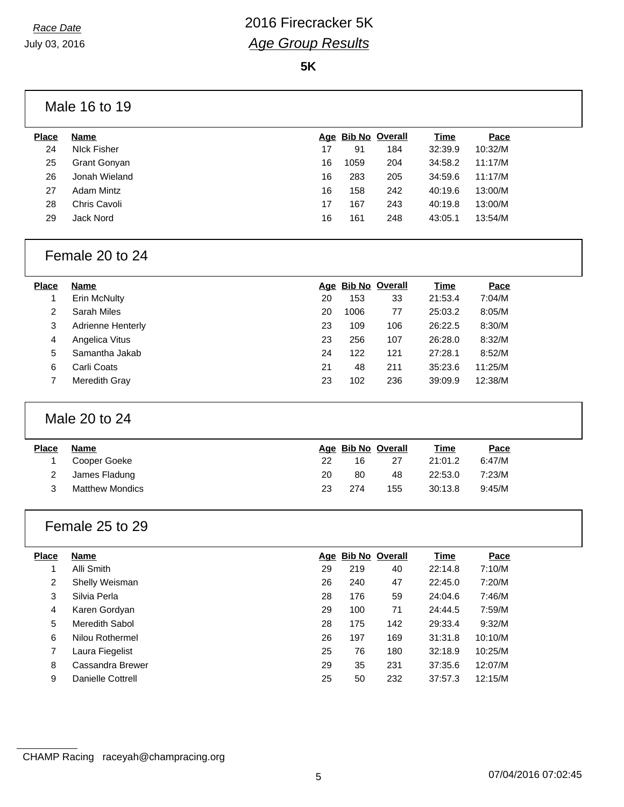**5K**

| Male 16 to 19 |  |
|---------------|--|
|               |  |

| <b>Place</b> | Name                |    | Age Bib No Overall |     | Time    | Pace    |
|--------------|---------------------|----|--------------------|-----|---------|---------|
| 24           | Nick Fisher         | 17 | 91                 | 184 | 32:39.9 | 10:32/M |
| 25           | <b>Grant Gonyan</b> | 16 | 1059               | 204 | 34:58.2 | 11:17/M |
| 26           | Jonah Wieland       | 16 | 283                | 205 | 34:59.6 | 11:17/M |
| 27           | <b>Adam Mintz</b>   | 16 | 158                | 242 | 40:19.6 | 13:00/M |
| 28           | Chris Cavoli        | 17 | 167                | 243 | 40:19.8 | 13:00/M |
| 29           | Jack Nord           | 16 | 161                | 248 | 43:05.1 | 13:54/M |
|              |                     |    |                    |     |         |         |

### Female 20 to 24

| <b>Place</b> | Name              |    | Age Bib No Overall |     | Time    | Pace    |
|--------------|-------------------|----|--------------------|-----|---------|---------|
|              | Erin McNulty      | 20 | 153                | 33  | 21:53.4 | 7:04/M  |
| 2            | Sarah Miles       | 20 | 1006               | 77  | 25:03.2 | 8:05/M  |
| 3            | Adrienne Henterly | 23 | 109                | 106 | 26:22.5 | 8:30/M  |
| 4            | Angelica Vitus    | 23 | 256                | 107 | 26:28.0 | 8:32/M  |
| 5            | Samantha Jakab    | 24 | 122                | 121 | 27:28.1 | 8:52/M  |
| 6            | Carli Coats       | 21 | 48                 | 211 | 35:23.6 | 11:25/M |
|              | Meredith Gray     | 23 | 102                | 236 | 39:09.9 | 12:38/M |

### Male 20 to 24

| <b>Place</b> | Name                   |    |     | Age Bib No Overall | Time    | Pace   |
|--------------|------------------------|----|-----|--------------------|---------|--------|
|              | Cooper Goeke           | 22 | 16  | 27                 | 21:01.2 | 6:47/M |
|              | James Fladung          | 20 | 80  | 48                 | 22:53.0 | 7:23/M |
|              | <b>Matthew Mondics</b> | 23 | 274 | 155                | 30:13.8 | 9:45/M |

### Female 25 to 29

| <b>Place</b> | Name              |    | Age Bib No Overall |     | <u>Time</u> | Pace    |
|--------------|-------------------|----|--------------------|-----|-------------|---------|
|              | Alli Smith        | 29 | 219                | 40  | 22:14.8     | 7:10/M  |
| 2            | Shelly Weisman    | 26 | 240                | 47  | 22:45.0     | 7:20/M  |
| 3            | Silvia Perla      | 28 | 176                | 59  | 24:04.6     | 7:46/M  |
| 4            | Karen Gordyan     | 29 | 100                | 71  | 24:44.5     | 7:59/M  |
| 5            | Meredith Sabol    | 28 | 175                | 142 | 29:33.4     | 9:32/M  |
| 6            | Nilou Rothermel   | 26 | 197                | 169 | 31:31.8     | 10:10/M |
| 7            | Laura Fiegelist   | 25 | 76                 | 180 | 32:18.9     | 10:25/M |
| 8            | Cassandra Brewer  | 29 | 35                 | 231 | 37:35.6     | 12:07/M |
| 9            | Danielle Cottrell | 25 | 50                 | 232 | 37:57.3     | 12:15/M |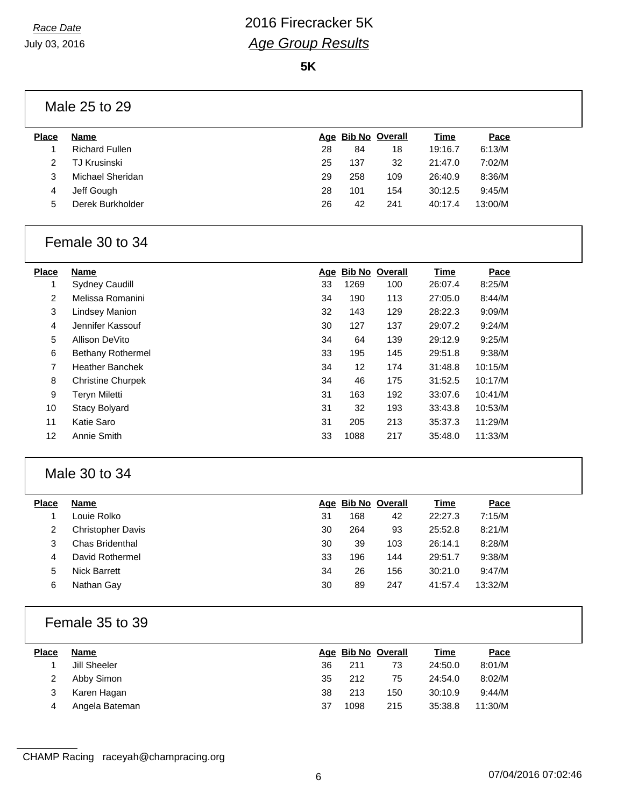**5K**

### Male 25 to 29

| <b>Place</b> | <b>Name</b>           |    |     | Age Bib No Overall | <b>Time</b> | Pace    |  |
|--------------|-----------------------|----|-----|--------------------|-------------|---------|--|
|              | <b>Richard Fullen</b> | 28 | 84  | 18                 | 19:16.7     | 6:13/M  |  |
|              | TJ Krusinski          | 25 | 137 | 32                 | 21:47.0     | 7:02/M  |  |
| 3            | Michael Sheridan      | 29 | 258 | 109                | 26:40.9     | 8:36/M  |  |
| 4            | Jeff Gough            | 28 | 101 | 154                | 30:12.5     | 9:45/M  |  |
| 5            | Derek Burkholder      | 26 | 42  | 241                | 40:17.4     | 13:00/M |  |
|              |                       |    |     |                    |             |         |  |

#### Female 30 to 34

| <b>Place</b>   | <b>Name</b>              | Age | <b>Bib No Overall</b> |     | Time    | Pace    |
|----------------|--------------------------|-----|-----------------------|-----|---------|---------|
|                | <b>Sydney Caudill</b>    | 33  | 1269                  | 100 | 26:07.4 | 8:25/M  |
| $\overline{2}$ | Melissa Romanini         | 34  | 190                   | 113 | 27:05.0 | 8:44/M  |
| 3              | <b>Lindsey Manion</b>    | 32  | 143                   | 129 | 28:22.3 | 9:09/M  |
| 4              | Jennifer Kassouf         | 30  | 127                   | 137 | 29:07.2 | 9:24/M  |
| 5              | Allison DeVito           | 34  | 64                    | 139 | 29:12.9 | 9:25/M  |
| 6              | Bethany Rothermel        | 33  | 195                   | 145 | 29:51.8 | 9:38/M  |
| $\overline{7}$ | <b>Heather Banchek</b>   | 34  | 12                    | 174 | 31:48.8 | 10:15/M |
| 8              | <b>Christine Churpek</b> | 34  | 46                    | 175 | 31:52.5 | 10:17/M |
| 9              | <b>Teryn Miletti</b>     | 31  | 163                   | 192 | 33:07.6 | 10:41/M |
| 10             | <b>Stacy Bolyard</b>     | 31  | 32                    | 193 | 33:43.8 | 10:53/M |
| 11             | <b>Katie Saro</b>        | 31  | 205                   | 213 | 35:37.3 | 11:29/M |
| 12             | Annie Smith              | 33  | 1088                  | 217 | 35:48.0 | 11:33/M |

### Male 30 to 34

| <b>Place</b> | <b>Name</b>              |    | Age Bib No Overall |     | <u>Time</u> | Pace    |
|--------------|--------------------------|----|--------------------|-----|-------------|---------|
|              | Louie Rolko              | 31 | 168                | 42  | 22:27.3     | 7:15/M  |
| 2            | <b>Christopher Davis</b> | 30 | 264                | 93  | 25:52.8     | 8:21/M  |
| 3            | Chas Bridenthal          | 30 | 39                 | 103 | 26:14.1     | 8:28/M  |
| 4            | David Rothermel          | 33 | 196                | 144 | 29:51.7     | 9:38/M  |
| 5            | <b>Nick Barrett</b>      | 34 | 26                 | 156 | 30:21.0     | 9:47/M  |
| 6            | Nathan Gay               | 30 | 89                 | 247 | 41:57.4     | 13:32/M |
|              |                          |    |                    |     |             |         |

#### Female 35 to 39

| <b>Place</b> | Name           |    |      | Age Bib No Overall | <u>Time</u> | Pace    |
|--------------|----------------|----|------|--------------------|-------------|---------|
|              | Jill Sheeler   | 36 | 211  | 73                 | 24:50.0     | 8:01/M  |
|              | Abby Simon     | 35 | 212  | 75                 | 24:54.0     | 8:02/M  |
|              | Karen Hagan    | 38 | 213  | 150                | 30:10.9     | 9:44/M  |
| 4            | Angela Bateman | 37 | 1098 | 215                | 35:38.8     | 11:30/M |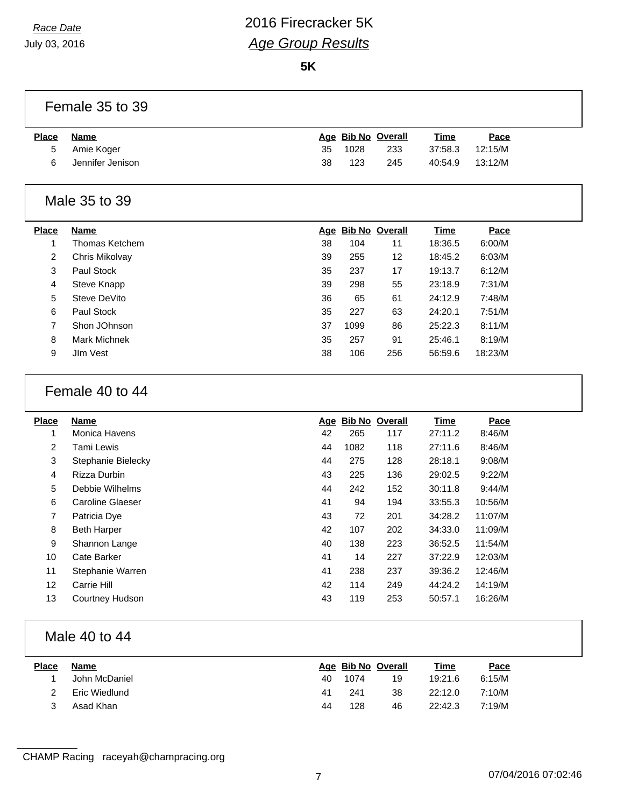July 03, 2016

# *Race Date* 2016 Firecracker 5K *Age Group Results*

**5K**

Female 35 to 39

| <b>Place</b> | Name             |    |      | Age Bib No Overall | <u>Time</u> | Pace    |
|--------------|------------------|----|------|--------------------|-------------|---------|
| 5            | Amie Koger       | 35 | 1028 | 233                | 37:58.3     | 12:15/M |
| 6            | Jennifer Jenison | 38 | 123  | 245                | 40:54.9     | 13:12/M |

### Male 35 to 39

| <b>Place</b> | <b>Name</b>    |    |      | Age Bib No Overall | <b>Time</b> | Pace    |
|--------------|----------------|----|------|--------------------|-------------|---------|
|              | Thomas Ketchem | 38 | 104  | 11                 | 18:36.5     | 6:00/M  |
| 2            | Chris Mikolvay | 39 | 255  | 12                 | 18:45.2     | 6:03/M  |
| 3            | Paul Stock     | 35 | 237  | 17                 | 19:13.7     | 6:12/M  |
| 4            | Steve Knapp    | 39 | 298  | 55                 | 23:18.9     | 7:31/M  |
| 5            | Steve DeVito   | 36 | 65   | 61                 | 24:12.9     | 7:48/M  |
| 6            | Paul Stock     | 35 | 227  | 63                 | 24:20.1     | 7:51/M  |
| 7            | Shon JOhnson   | 37 | 1099 | 86                 | 25:22.3     | 8:11/M  |
| 8            | Mark Michnek   | 35 | 257  | 91                 | 25:46.1     | 8:19/M  |
| 9            | JIm Vest       | 38 | 106  | 256                | 56:59.6     | 18:23/M |
|              |                |    |      |                    |             |         |

### Female 40 to 44

| <b>Place</b>   | Name                   |    | Age Bib No Overall |     | Time    | Pace    |
|----------------|------------------------|----|--------------------|-----|---------|---------|
| 1              | Monica Havens          | 42 | 265                | 117 | 27:11.2 | 8:46/M  |
| 2              | Tami Lewis             | 44 | 1082               | 118 | 27:11.6 | 8:46/M  |
| 3              | Stephanie Bielecky     | 44 | 275                | 128 | 28:18.1 | 9:08/M  |
| 4              | Rizza Durbin           | 43 | 225                | 136 | 29:02.5 | 9:22/M  |
| 5              | Debbie Wilhelms        | 44 | 242                | 152 | 30:11.8 | 9:44/M  |
| 6              | Caroline Glaeser       | 41 | 94                 | 194 | 33:55.3 | 10:56/M |
| $\overline{7}$ | Patricia Dye           | 43 | 72                 | 201 | 34:28.2 | 11:07/M |
| 8              | <b>Beth Harper</b>     | 42 | 107                | 202 | 34:33.0 | 11:09/M |
| 9              | Shannon Lange          | 40 | 138                | 223 | 36:52.5 | 11:54/M |
| 10             | Cate Barker            | 41 | 14                 | 227 | 37:22.9 | 12:03/M |
| 11             | Stephanie Warren       | 41 | 238                | 237 | 39:36.2 | 12:46/M |
| 12             | Carrie Hill            | 42 | 114                | 249 | 44:24.2 | 14:19/M |
| 13             | <b>Courtney Hudson</b> | 43 | 119                | 253 | 50:57.1 | 16:26/M |

### Male 40 to 44

| <b>Place</b> | Name          |    |      | Age Bib No Overall | <u>Time</u> | <u>Pace</u> |  |
|--------------|---------------|----|------|--------------------|-------------|-------------|--|
|              | John McDaniel | 40 | 1074 | 19                 | 19:21.6     | 6:15/M      |  |
|              | Eric Wiedlund | 41 | 241  | 38                 | 22:12.0     | 7:10/M      |  |
|              | Asad Khan     | 44 | 128  | 46                 | 22:42.3     | 7:19/M      |  |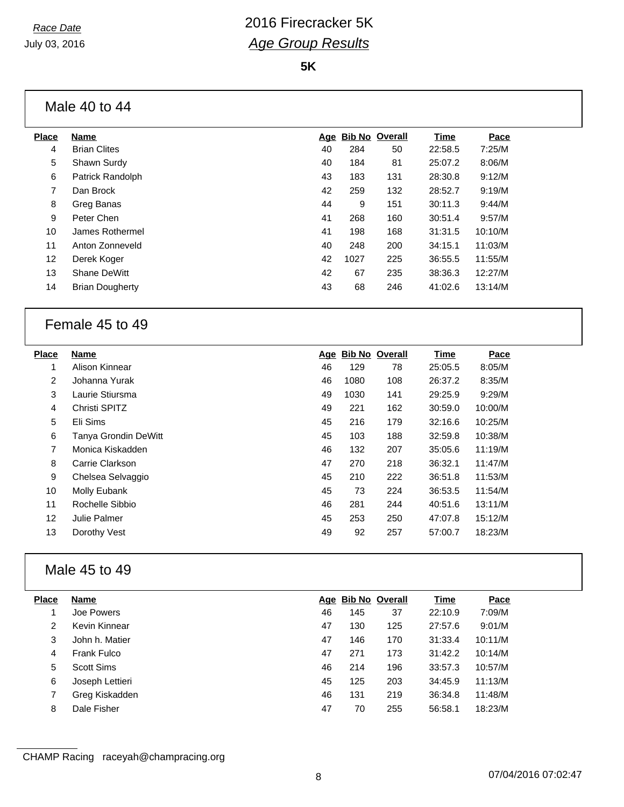**5K**

### Male 40 to 44

| <b>Place</b>   | Name                   |    |      | Age Bib No Overall | Time    | Pace    |
|----------------|------------------------|----|------|--------------------|---------|---------|
| 4              | <b>Brian Clites</b>    | 40 | 284  | 50                 | 22:58.5 | 7:25/M  |
| 5              | Shawn Surdy            | 40 | 184  | 81                 | 25:07.2 | 8:06/M  |
| 6              | Patrick Randolph       | 43 | 183  | 131                | 28:30.8 | 9:12/M  |
| $\overline{7}$ | Dan Brock              | 42 | 259  | 132                | 28:52.7 | 9:19/M  |
| 8              | Greg Banas             | 44 | 9    | 151                | 30:11.3 | 9:44/M  |
| 9              | Peter Chen             | 41 | 268  | 160                | 30:51.4 | 9:57/M  |
| 10             | James Rothermel        | 41 | 198  | 168                | 31:31.5 | 10:10/M |
| 11             | Anton Zonneveld        | 40 | 248  | 200                | 34:15.1 | 11:03/M |
| 12             | Derek Koger            | 42 | 1027 | 225                | 36:55.5 | 11:55/M |
| 13             | Shane DeWitt           | 42 | 67   | 235                | 38:36.3 | 12:27/M |
| 14             | <b>Brian Dougherty</b> | 43 | 68   | 246                | 41:02.6 | 13:14/M |
|                |                        |    |      |                    |         |         |

#### Female 45 to 49

| <b>Place</b>   | Name                        | Age | <b>Bib No Overall</b> |     | Time    | Pace    |
|----------------|-----------------------------|-----|-----------------------|-----|---------|---------|
| 1              | Alison Kinnear              | 46  | 129                   | 78  | 25:05.5 | 8:05/M  |
| $\overline{2}$ | Johanna Yurak               | 46  | 1080                  | 108 | 26:37.2 | 8:35/M  |
| 3              | Laurie Stiursma             | 49  | 1030                  | 141 | 29:25.9 | 9:29/M  |
| 4              | Christi SPITZ               | 49  | 221                   | 162 | 30:59.0 | 10:00/M |
| 5              | Eli Sims                    | 45  | 216                   | 179 | 32:16.6 | 10:25/M |
| 6              | <b>Tanya Grondin DeWitt</b> | 45  | 103                   | 188 | 32:59.8 | 10:38/M |
| 7              | Monica Kiskadden            | 46  | 132                   | 207 | 35:05.6 | 11:19/M |
| 8              | Carrie Clarkson             | 47  | 270                   | 218 | 36:32.1 | 11:47/M |
| 9              | Chelsea Selvaggio           | 45  | 210                   | 222 | 36:51.8 | 11:53/M |
| 10             | Molly Eubank                | 45  | 73                    | 224 | 36:53.5 | 11:54/M |
| 11             | Rochelle Sibbio             | 46  | 281                   | 244 | 40:51.6 | 13:11/M |
| 12             | Julie Palmer                | 45  | 253                   | 250 | 47:07.8 | 15:12/M |
| 13             | Dorothy Vest                | 49  | 92                    | 257 | 57:00.7 | 18:23/M |
|                |                             |     |                       |     |         |         |

### Male 45 to 49

| <b>Place</b> | Name            |    | Age Bib No Overall |     | Time    | Pace    |
|--------------|-----------------|----|--------------------|-----|---------|---------|
|              | Joe Powers      | 46 | 145                | 37  | 22:10.9 | 7:09/M  |
| 2            | Kevin Kinnear   | 47 | 130                | 125 | 27:57.6 | 9:01/M  |
| 3            | John h. Matier  | 47 | 146                | 170 | 31:33.4 | 10:11/M |
| 4            | Frank Fulco     | 47 | 271                | 173 | 31:42.2 | 10:14/M |
| 5            | Scott Sims      | 46 | 214                | 196 | 33:57.3 | 10:57/M |
| 6            | Joseph Lettieri | 45 | 125                | 203 | 34:45.9 | 11:13/M |
|              | Greg Kiskadden  | 46 | 131                | 219 | 36:34.8 | 11:48/M |
| 8            | Dale Fisher     | 47 | 70                 | 255 | 56:58.1 | 18:23/M |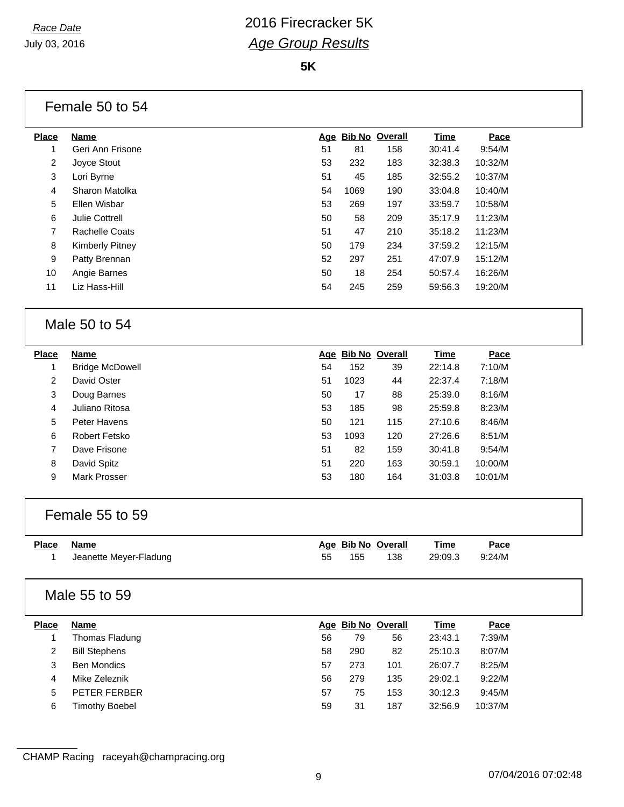**5K**

### Female 50 to 54

| Place | <b>Name</b>           |    | Age Bib No Overall |     | Time    | Pace    |
|-------|-----------------------|----|--------------------|-----|---------|---------|
| 1     | Geri Ann Frisone      | 51 | 81                 | 158 | 30:41.4 | 9:54/M  |
| 2     | Joyce Stout           | 53 | 232                | 183 | 32:38.3 | 10:32/M |
| 3     | Lori Byrne            | 51 | 45                 | 185 | 32:55.2 | 10:37/M |
| 4     | Sharon Matolka        | 54 | 1069               | 190 | 33:04.8 | 10:40/M |
| 5     | Ellen Wisbar          | 53 | 269                | 197 | 33:59.7 | 10:58/M |
| 6     | <b>Julie Cottrell</b> | 50 | 58                 | 209 | 35:17.9 | 11:23/M |
| 7     | Rachelle Coats        | 51 | 47                 | 210 | 35:18.2 | 11:23/M |
| 8     | Kimberly Pitney       | 50 | 179                | 234 | 37:59.2 | 12:15/M |
| 9     | Patty Brennan         | 52 | 297                | 251 | 47:07.9 | 15:12/M |
| 10    | Angie Barnes          | 50 | 18                 | 254 | 50:57.4 | 16:26/M |
| 11    | Liz Hass-Hill         | 54 | 245                | 259 | 59:56.3 | 19:20/M |
|       |                       |    |                    |     |         |         |

#### Male 50 to 54

| <b>Place</b>   | <b>Name</b>            |    |      | Age Bib No Overall | <u>Time</u> | Pace    |
|----------------|------------------------|----|------|--------------------|-------------|---------|
|                | <b>Bridge McDowell</b> | 54 | 152  | 39                 | 22:14.8     | 7:10/M  |
| $\overline{2}$ | David Oster            | 51 | 1023 | 44                 | 22:37.4     | 7:18/M  |
| 3              | Doug Barnes            | 50 | 17   | 88                 | 25:39.0     | 8:16/M  |
| 4              | Juliano Ritosa         | 53 | 185  | 98                 | 25:59.8     | 8:23/M  |
| 5              | Peter Havens           | 50 | 121  | 115                | 27:10.6     | 8:46/M  |
| 6              | Robert Fetsko          | 53 | 1093 | 120                | 27:26.6     | 8:51/M  |
| 7              | Dave Frisone           | 51 | 82   | 159                | 30:41.8     | 9:54/M  |
| 8              | David Spitz            | 51 | 220  | 163                | 30:59.1     | 10:00/M |
| 9              | Mark Prosser           | 53 | 180  | 164                | 31:03.8     | 10:01/M |
|                |                        |    |      |                    |             |         |

#### Female 55 to 59

| Place Name             | Age Bib No Overall |     | Time           | Pace |
|------------------------|--------------------|-----|----------------|------|
| Jeanette Meyer-Fladung | 155                | 138 | 29:09.3 9:24/M |      |

#### Male 55 to 59

| <b>Place</b> | <b>Name</b>          |    | Age Bib No Overall |     | <b>Time</b> | Pace    |
|--------------|----------------------|----|--------------------|-----|-------------|---------|
|              | Thomas Fladung       | 56 | 79                 | 56  | 23:43.1     | 7:39/M  |
|              | <b>Bill Stephens</b> | 58 | 290                | 82  | 25:10.3     | 8:07/M  |
| 3            | <b>Ben Mondics</b>   | 57 | 273                | 101 | 26:07.7     | 8:25/M  |
| 4            | Mike Zeleznik        | 56 | 279                | 135 | 29:02.1     | 9:22/M  |
| 5            | PETER FERBER         | 57 | 75                 | 153 | 30:12.3     | 9:45/M  |
| 6            | Timothy Boebel       | 59 | 31                 | 187 | 32:56.9     | 10:37/M |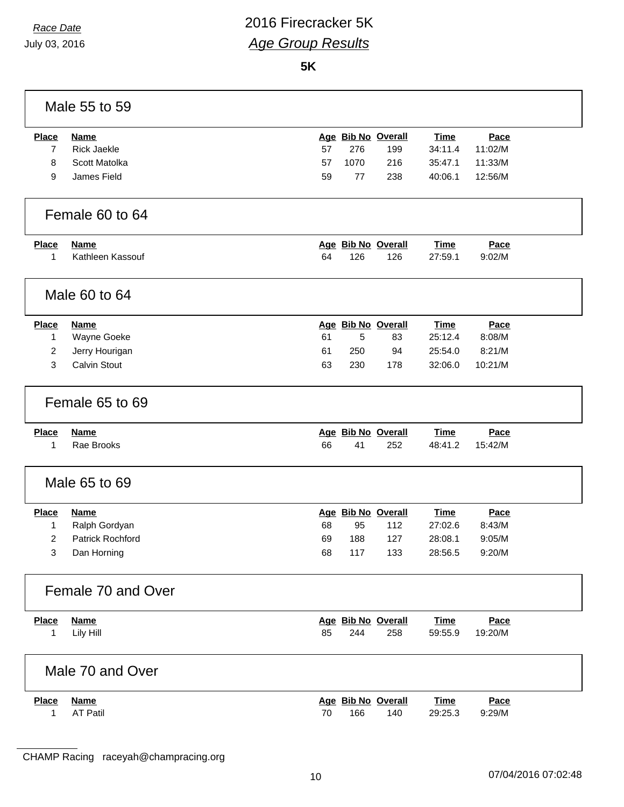**5K**

| Male 55 to 59      |                     |    |      |                    |             |         |  |
|--------------------|---------------------|----|------|--------------------|-------------|---------|--|
| <b>Place</b>       | <b>Name</b>         |    |      | Age Bib No Overall | <b>Time</b> | Pace    |  |
| 7                  | <b>Rick Jaekle</b>  | 57 | 276  | 199                | 34:11.4     | 11:02/M |  |
| 8                  | Scott Matolka       | 57 | 1070 | 216                | 35:47.1     | 11:33/M |  |
| 9                  | James Field         | 59 | 77   | 238                | 40:06.1     | 12:56/M |  |
|                    |                     |    |      |                    |             |         |  |
| Female 60 to 64    |                     |    |      |                    |             |         |  |
| <b>Place</b>       | <b>Name</b>         |    |      | Age Bib No Overall | <b>Time</b> | Pace    |  |
| 1                  | Kathleen Kassouf    | 64 | 126  | 126                | 27:59.1     | 9:02/M  |  |
|                    |                     |    |      |                    |             |         |  |
| Male 60 to 64      |                     |    |      |                    |             |         |  |
| <b>Place</b>       | <b>Name</b>         |    |      | Age Bib No Overall | <b>Time</b> | Pace    |  |
| 1                  | Wayne Goeke         | 61 | 5    | 83                 | 25:12.4     | 8:08/M  |  |
| $\overline{2}$     | Jerry Hourigan      | 61 | 250  | 94                 | 25:54.0     | 8:21/M  |  |
| 3                  | <b>Calvin Stout</b> | 63 | 230  | 178                | 32:06.0     | 10:21/M |  |
|                    |                     |    |      |                    |             |         |  |
|                    | Female 65 to 69     |    |      |                    |             |         |  |
| <b>Place</b>       | <b>Name</b>         |    |      | Age Bib No Overall | <b>Time</b> | Pace    |  |
| 1                  | Rae Brooks          | 66 | 41   | 252                | 48:41.2     | 15:42/M |  |
| Male 65 to 69      |                     |    |      |                    |             |         |  |
| <b>Place</b>       | <b>Name</b>         |    |      | Age Bib No Overall | <b>Time</b> | Pace    |  |
| 1                  | Ralph Gordyan       | 68 | 95   | 112                | 27:02.6     | 8:43/M  |  |
| $\overline{2}$     | Patrick Rochford    | 69 | 188  | 127                | 28:08.1     | 9:05/M  |  |
| 3                  | Dan Horning         | 68 | 117  | 133                | 28:56.5     | 9:20/M  |  |
| Female 70 and Over |                     |    |      |                    |             |         |  |
| <b>Place</b>       | <b>Name</b>         |    |      | Age Bib No Overall | <b>Time</b> | Pace    |  |
| 1                  | Lily Hill           | 85 | 244  | 258                | 59:55.9     | 19:20/M |  |
| Male 70 and Over   |                     |    |      |                    |             |         |  |
| <b>Place</b>       | <b>Name</b>         |    |      | Age Bib No Overall | <b>Time</b> | Pace    |  |
| 1                  | <b>AT Patil</b>     | 70 | 166  | 140                | 29:25.3     | 9:29/M  |  |
|                    |                     |    |      |                    |             |         |  |